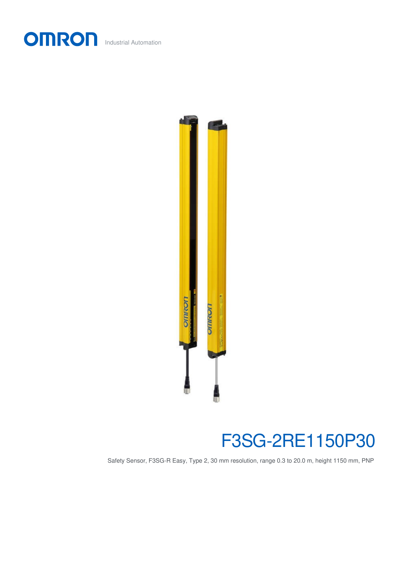



## F3SG-2RE1150P30

Safety Sensor, F3SG-R Easy, Type 2, 30 mm resolution, range 0.3 to 20.0 m, height 1150 mm, PNP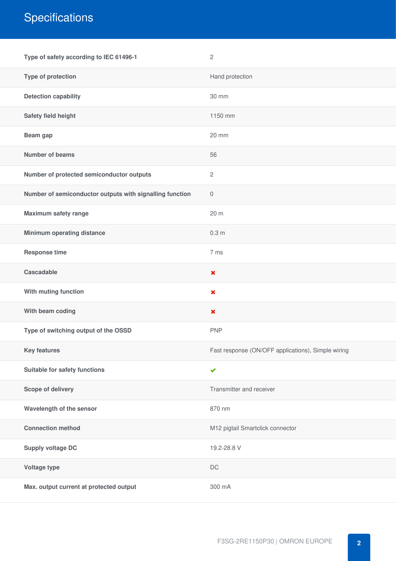## **Specifications**

| Type of safety according to IEC 61496-1                  | $\mathbf{2}$                                       |
|----------------------------------------------------------|----------------------------------------------------|
| Type of protection                                       | Hand protection                                    |
| <b>Detection capability</b>                              | 30 mm                                              |
| Safety field height                                      | 1150 mm                                            |
| Beam gap                                                 | 20 mm                                              |
| <b>Number of beams</b>                                   | 56                                                 |
| Number of protected semiconductor outputs                | $\overline{c}$                                     |
| Number of semiconductor outputs with signalling function | $\mathbf 0$                                        |
| <b>Maximum safety range</b>                              | 20 m                                               |
| <b>Minimum operating distance</b>                        | 0.3 <sub>m</sub>                                   |
| <b>Response time</b>                                     | 7 ms                                               |
| Cascadable                                               | $\boldsymbol{\mathsf{x}}$                          |
| With muting function                                     | $\pmb{\times}$                                     |
| With beam coding                                         | $\pmb{\times}$                                     |
| Type of switching output of the OSSD                     | <b>PNP</b>                                         |
| <b>Key features</b>                                      | Fast response (ON/OFF applications), Simple wiring |
| Suitable for safety functions                            | $\checkmark$                                       |
| Scope of delivery                                        | Transmitter and receiver                           |
| Wavelength of the sensor                                 | 870 nm                                             |
| <b>Connection method</b>                                 | M12 pigtail Smartclick connector                   |
| <b>Supply voltage DC</b>                                 | 19.2-28.8 V                                        |
| Voltage type                                             | $\mathsf{DC}$                                      |
| Max. output current at protected output                  | 300 mA                                             |